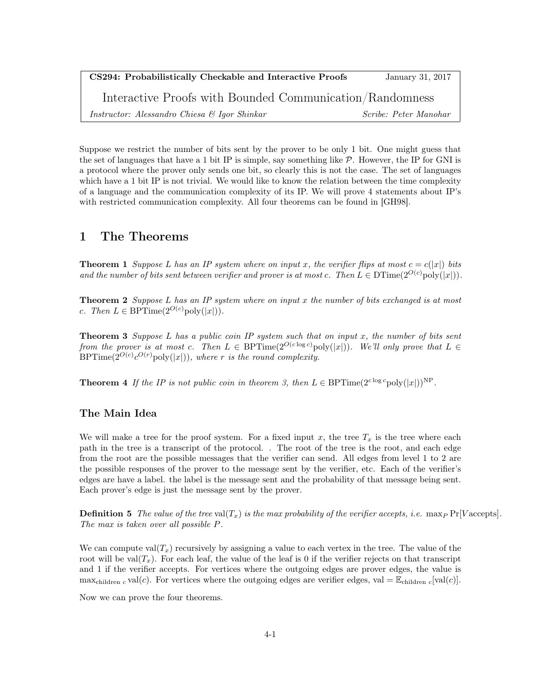| CS294: Probabilistically Checkable and Interactive Proofs | January 31, 2017             |
|-----------------------------------------------------------|------------------------------|
| Interactive Proofs with Bounded Communication/Randomness  |                              |
| Instructor: Alessandro Chiesa & Igor Shinkar              | <i>Scribe: Peter Manohar</i> |

Suppose we restrict the number of bits sent by the prover to be only 1 bit. One might guess that the set of languages that have a 1 bit IP is simple, say something like  $P$ . However, the IP for GNI is a protocol where the prover only sends one bit, so clearly this is not the case. The set of languages which have a 1 bit IP is not trivial. We would like to know the relation between the time complexity of a language and the communication complexity of its IP. We will prove 4 statements about IP's with restricted communication complexity. All four theorems can be found in [GH98].

### 1 The Theorems

**Theorem 1** Suppose L has an IP system where on input x, the verifier flips at most  $c = c(|x|)$  bits and the number of bits sent between verifier and prover is at most c. Then  $L \in \text{DTime}(2^{O(c)} \text{poly}(|x|)).$ 

**Theorem 2** Suppose  $L$  has an IP system where on input x the number of bits exchanged is at most c. Then  $L \in \text{BPTime}(2^{O(c)} \text{poly}(|x|)).$ 

**Theorem 3** Suppose L has a public coin IP system such that on input x, the number of bits sent from the prover is at most c. Then  $L \in \text{BPTime}(2^{O(c \log c)} \text{poly}(|x|))$ . We'll only prove that  $L \in$  $BPTime(2^{O(c)}c^{O(r)}poly(|x|)),$  where r is the round complexity.

**Theorem 4** If the IP is not public coin in theorem 3, then  $L \in \text{BPTime}(2^{c \log c} \text{poly}(|x|))^{NP}$ .

#### The Main Idea

We will make a tree for the proof system. For a fixed input x, the tree  $T_x$  is the tree where each path in the tree is a transcript of the protocol. . The root of the tree is the root, and each edge from the root are the possible messages that the verifier can send. All edges from level 1 to 2 are the possible responses of the prover to the message sent by the verifier, etc. Each of the verifier's edges are have a label. the label is the message sent and the probability of that message being sent. Each prover's edge is just the message sent by the prover.

**Definition 5** The value of the tree val $(T_x)$  is the max probability of the verifier accepts, i.e.  $\max_P \Pr[V \text{ accepts}]$ . The max is taken over all possible P.

We can compute  $val(T_x)$  recursively by assigning a value to each vertex in the tree. The value of the root will be val $(T_x)$ . For each leaf, the value of the leaf is 0 if the verifier rejects on that transcript and 1 if the verifier accepts. For vertices where the outgoing edges are prover edges, the value is max<sub>children c</sub> val(c). For vertices where the outgoing edges are verifier edges, val =  $\mathbb{E}_{\text{children } c}[\text{val}(c)]$ .

Now we can prove the four theorems.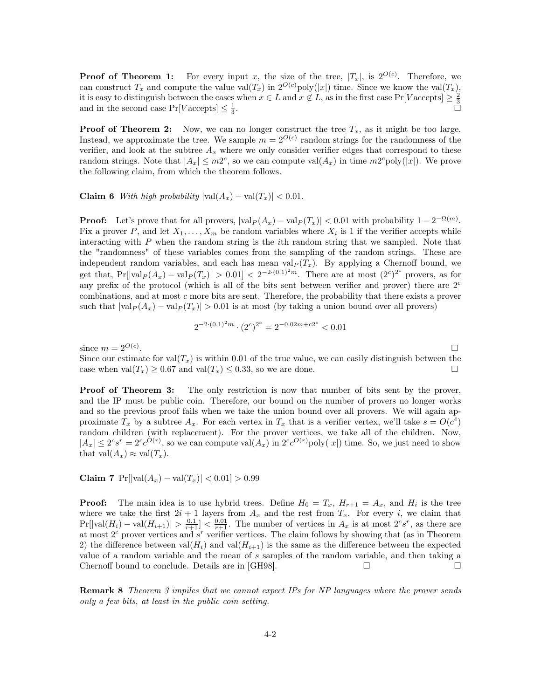**Proof of Theorem 1:** For every input x, the size of the tree,  $|T_x|$ , is  $2^{O(c)}$ . Therefore, we can construct  $T_x$  and compute the value val $(T_x)$  in  $2^{O(c)}$  poly $(|x|)$  time. Since we know the val $(T_x)$ , it is easy to distinguish between the cases when  $x \in L$  and  $x \notin L$ , as in the first case  $Pr[Vaccepts] \ge \frac{2}{3}$ and in the second case  $Pr[Vaccepts] \leq \frac{1}{3}$ .

**Proof of Theorem 2:** Now, we can no longer construct the tree  $T_x$ , as it might be too large. Instead, we approximate the tree. We sample  $m = 2^{O(c)}$  random strings for the randomness of the verifier, and look at the subtree  $A_x$  where we only consider verifier edges that correspond to these random strings. Note that  $|A_x| \leq m2^c$ , so we can compute val $(A_x)$  in time  $m2^c$ poly $(|x|)$ . We prove the following claim, from which the theorem follows.

Claim 6 With high probability  $|\text{val}(A_x) - \text{val}(T_x)| < 0.01$ .

**Proof:** Let's prove that for all provers,  $|\text{val}_P(A_x) - \text{val}_P(T_x)| < 0.01$  with probability  $1 - 2^{-\Omega(m)}$ . Fix a prover P, and let  $X_1, \ldots, X_m$  be random variables where  $X_i$  is 1 if the verifier accepts while interacting with  $P$  when the random string is the *i*th random string that we sampled. Note that the "randomness" of these variables comes from the sampling of the random strings. These are independent random variables, and each has mean  $val_P(T_x)$ . By applying a Chernoff bound, we get that,  $Pr[|\text{val}_P(A_x) - \text{val}_P(T_x)| > 0.01] < 2^{-2 \cdot (0.1)^2 m}$ . There are at most  $(2^c)^{2^c}$  provers, as for any prefix of the protocol (which is all of the bits sent between verifier and prover) there are  $2<sup>c</sup>$ combinations, and at most c more bits are sent. Therefore, the probability that there exists a prover such that  $|val_P(A_x) - val_P(T_x)| > 0.01$  is at most (by taking a union bound over all provers)

$$
2^{-2 \cdot (0.1)^2 m} \cdot (2^c)^{2^c} = 2^{-0.02 m + c2^c} < 0.01
$$

since  $m = 2^{O(c)}$ . . In the contract of the contract of the contract of the contract of the contract of the contract of the contract of

Since our estimate for  $val(T_x)$  is within 0.01 of the true value, we can easily distinguish between the case when val $(T_x) \geq 0.67$  and val $(T_x) \leq 0.33$ , so we are done.

**Proof of Theorem 3:** The only restriction is now that number of bits sent by the prover, and the IP must be public coin. Therefore, our bound on the number of provers no longer works and so the previous proof fails when we take the union bound over all provers. We will again approximate  $T_x$  by a subtree  $A_x$ . For each vertex in  $T_x$  that is a verifier vertex, we'll take  $s = O(c^4)$ random children (with replacement). For the prover vertices, we take all of the children. Now,  $|A_x| \leq 2^c s^r = 2^c c^{O(r)}$ , so we can compute val $(A_x)$  in  $2^c c^{O(r)}$  poly $(|x|)$  time. So, we just need to show that  $val(A_x) \approx val(T_x)$ .

Claim 7  $Pr[|val(A_x) - val(T_x)| < 0.01] > 0.99$ 

**Proof:** The main idea is to use hybrid trees. Define  $H_0 = T_x$ ,  $H_{r+1} = A_x$ , and  $H_i$  is the tree where we take the first  $2i + 1$  layers from  $A_x$  and the rest from  $T_x$ . For every i, we claim that  $Pr[|\text{val}(H_i) - \text{val}(H_{i+1})| > \frac{0.1}{r+1}] < \frac{0.01}{r+1}$ . The number of vertices in  $A_x$  is at most  $2^{c}s^{r}$ , as there are at most  $2<sup>c</sup>$  prover vertices and  $s<sup>r</sup>$  verifier vertices. The claim follows by showing that (as in Theorem 2) the difference between val $(H_i)$  and val $(H_{i+1})$  is the same as the difference between the expected value of a random variable and the mean of s samples of the random variable, and then taking a Chernoff bound to conclude. Details are in [GH98].

**Remark 8** Theorem 3 impiles that we cannot expect IPs for NP languages where the prover sends only a few bits, at least in the public coin setting.